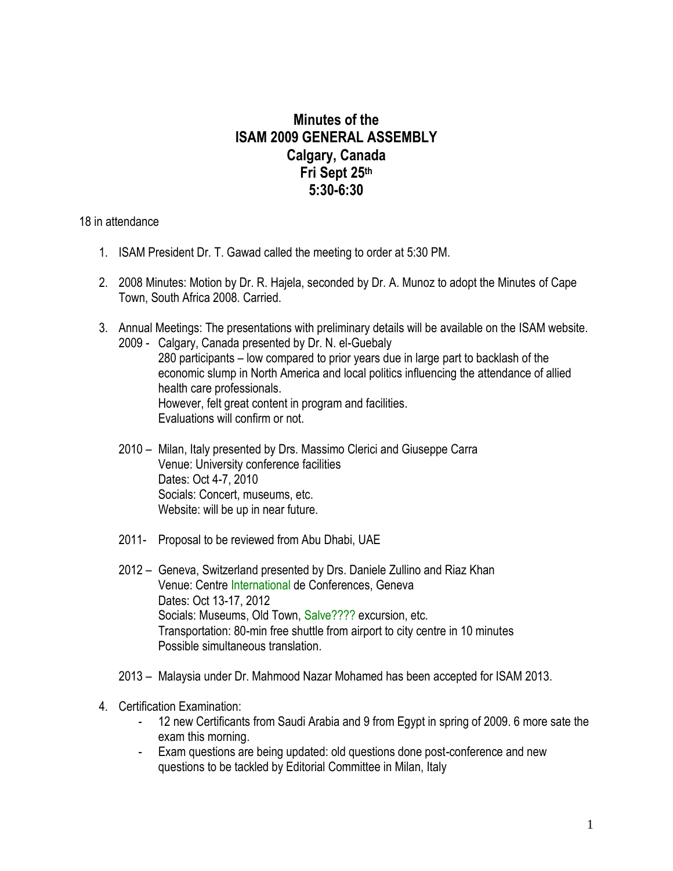## **Minutes of the ISAM 2009 GENERAL ASSEMBLY Calgary, Canada Fri Sept 25th 5:30-6:30**

18 in attendance

- 1. ISAM President Dr. T. Gawad called the meeting to order at 5:30 PM.
- 2. 2008 Minutes: Motion by Dr. R. Hajela, seconded by Dr. A. Munoz to adopt the Minutes of Cape Town, South Africa 2008. Carried.
- 3. Annual Meetings: The presentations with preliminary details will be available on the ISAM website. 2009 - Calgary, Canada presented by Dr. N. el-Guebaly 280 participants – low compared to prior years due in large part to backlash of the economic slump in North America and local politics influencing the attendance of allied health care professionals. However, felt great content in program and facilities. Evaluations will confirm or not.
	- 2010 Milan, Italy presented by Drs. Massimo Clerici and Giuseppe Carra Venue: University conference facilities Dates: Oct 4-7, 2010 Socials: Concert, museums, etc. Website: will be up in near future.
	- 2011- Proposal to be reviewed from Abu Dhabi, UAE
	- 2012 Geneva, Switzerland presented by Drs. Daniele Zullino and Riaz Khan Venue: Centre International de Conferences, Geneva Dates: Oct 13-17, 2012 Socials: Museums, Old Town, Salve???? excursion, etc. Transportation: 80-min free shuttle from airport to city centre in 10 minutes Possible simultaneous translation.
	- 2013 Malaysia under Dr. Mahmood Nazar Mohamed has been accepted for ISAM 2013.
- 4. Certification Examination:
	- 12 new Certificants from Saudi Arabia and 9 from Egypt in spring of 2009. 6 more sate the exam this morning.
	- Exam questions are being updated: old questions done post-conference and new questions to be tackled by Editorial Committee in Milan, Italy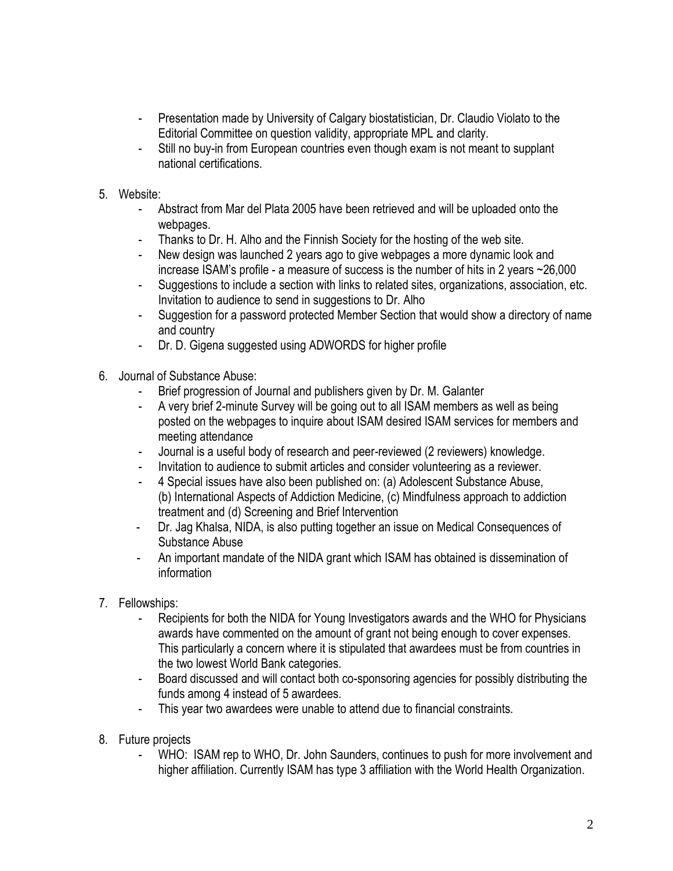- Presentation made by University of Calgary biostatistician, Dr. Claudio Violato to the Editorial Committee on question validity, appropriate MPL and clarity.
- Still no buy-in from European countries even though exam is not meant to supplant national certifications.
- 5. Website:
	- Abstract from Mar del Plata 2005 have been retrieved and will be uploaded onto the webpages.
	- Thanks to Dr. H. Alho and the Finnish Society for the hosting of the web site.
	- New design was launched 2 years ago to give webpages a more dynamic look and increase ISAM's profile - a measure of success is the number of hits in 2 years ~26,000
	- Suggestions to include a section with links to related sites, organizations, association, etc. Invitation to audience to send in suggestions to Dr. Alho
	- Suggestion for a password protected Member Section that would show a directory of name and country
	- Dr. D. Gigena suggested using ADWORDS for higher profile
- 6. Journal of Substance Abuse:
	- Brief progression of Journal and publishers given by Dr. M. Galanter
	- A very brief 2-minute Survey will be going out to all ISAM members as well as being posted on the webpages to inquire about ISAM desired ISAM services for members and meeting attendance
	- Journal is a useful body of research and peer-reviewed (2 reviewers) knowledge.
	- Invitation to audience to submit articles and consider volunteering as a reviewer.
	- 4 Special issues have also been published on: (a) Adolescent Substance Abuse, (b) International Aspects of Addiction Medicine, (c) Mindfulness approach to addiction treatment and (d) Screening and Brief Intervention
	- Dr. Jag Khalsa, NIDA, is also putting together an issue on Medical Consequences of Substance Abuse
	- An important mandate of the NIDA grant which ISAM has obtained is dissemination of information
- 7. Fellowships:
	- Recipients for both the NIDA for Young Investigators awards and the WHO for Physicians awards have commented on the amount of grant not being enough to cover expenses. This particularly a concern where it is stipulated that awardees must be from countries in the two lowest World Bank categories.
	- Board discussed and will contact both co-sponsoring agencies for possibly distributing the funds among 4 instead of 5 awardees.
	- This year two awardees were unable to attend due to financial constraints.
- 8. Future projects
	- WHO: ISAM rep to WHO, Dr. John Saunders, continues to push for more involvement and higher affiliation. Currently ISAM has type 3 affiliation with the World Health Organization.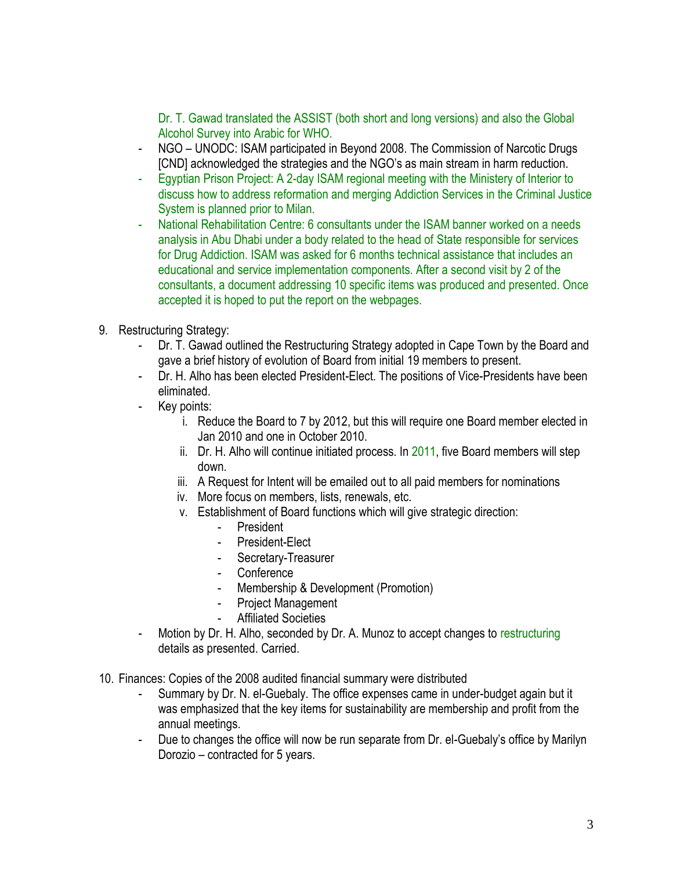Dr. T. Gawad translated the ASSIST (both short and long versions) and also the Global Alcohol Survey into Arabic for WHO.

- NGO UNODC: ISAM participated in Beyond 2008. The Commission of Narcotic Drugs [CND] acknowledged the strategies and the NGO's as main stream in harm reduction.
- Egyptian Prison Project: A 2-day ISAM regional meeting with the Ministery of Interior to discuss how to address reformation and merging Addiction Services in the Criminal Justice System is planned prior to Milan.
- National Rehabilitation Centre: 6 consultants under the ISAM banner worked on a needs analysis in Abu Dhabi under a body related to the head of State responsible for services for Drug Addiction. ISAM was asked for 6 months technical assistance that includes an educational and service implementation components. After a second visit by 2 of the consultants, a document addressing 10 specific items was produced and presented. Once accepted it is hoped to put the report on the webpages.
- 9. Restructuring Strategy:
	- Dr. T. Gawad outlined the Restructuring Strategy adopted in Cape Town by the Board and gave a brief history of evolution of Board from initial 19 members to present.
	- Dr. H. Alho has been elected President-Elect. The positions of Vice-Presidents have been eliminated.
	- Key points:
		- i. Reduce the Board to 7 by 2012, but this will require one Board member elected in Jan 2010 and one in October 2010.
		- ii. Dr. H. Alho will continue initiated process. In 2011, five Board members will step down.
		- iii. A Request for Intent will be emailed out to all paid members for nominations
		- iv. More focus on members, lists, renewals, etc.
		- v. Establishment of Board functions which will give strategic direction:
			- President
			- President-Elect
			- Secretary-Treasurer
			- Conference
			- Membership & Development (Promotion)
			- Project Management
			- Affiliated Societies
	- Motion by Dr. H. Alho, seconded by Dr. A. Munoz to accept changes to restructuring details as presented. Carried.
- 10. Finances: Copies of the 2008 audited financial summary were distributed
	- Summary by Dr. N. el-Guebaly. The office expenses came in under-budget again but it was emphasized that the key items for sustainability are membership and profit from the annual meetings.
	- Due to changes the office will now be run separate from Dr. el-Guebaly's office by Marilyn Dorozio – contracted for 5 years.